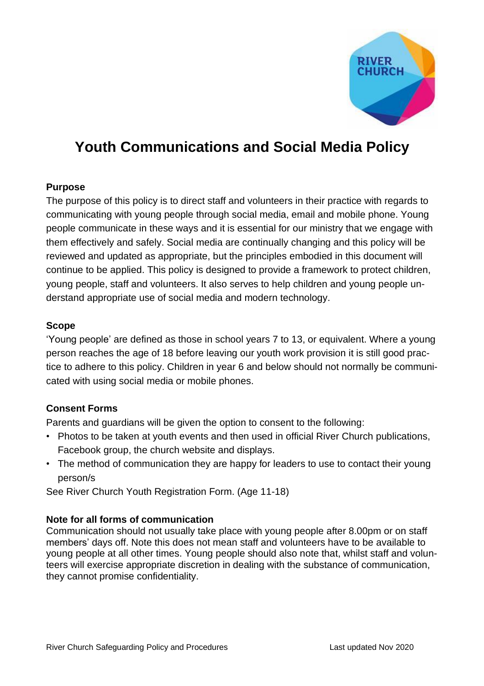

# **Youth Communications and Social Media Policy**

### **Purpose**

The purpose of this policy is to direct staff and volunteers in their practice with regards to communicating with young people through social media, email and mobile phone. Young people communicate in these ways and it is essential for our ministry that we engage with them effectively and safely. Social media are continually changing and this policy will be reviewed and updated as appropriate, but the principles embodied in this document will continue to be applied. This policy is designed to provide a framework to protect children, young people, staff and volunteers. It also serves to help children and young people understand appropriate use of social media and modern technology.

#### **Scope**

'Young people' are defined as those in school years 7 to 13, or equivalent. Where a young person reaches the age of 18 before leaving our youth work provision it is still good practice to adhere to this policy. Children in year 6 and below should not normally be communicated with using social media or mobile phones.

### **Consent Forms**

Parents and guardians will be given the option to consent to the following:

- Photos to be taken at youth events and then used in official River Church publications, Facebook group, the church website and displays.
- The method of communication they are happy for leaders to use to contact their young person/s

See River Church Youth Registration Form. (Age 11-18)

### **Note for all forms of communication**

Communication should not usually take place with young people after 8.00pm or on staff members' days off. Note this does not mean staff and volunteers have to be available to young people at all other times. Young people should also note that, whilst staff and volunteers will exercise appropriate discretion in dealing with the substance of communication, they cannot promise confidentiality.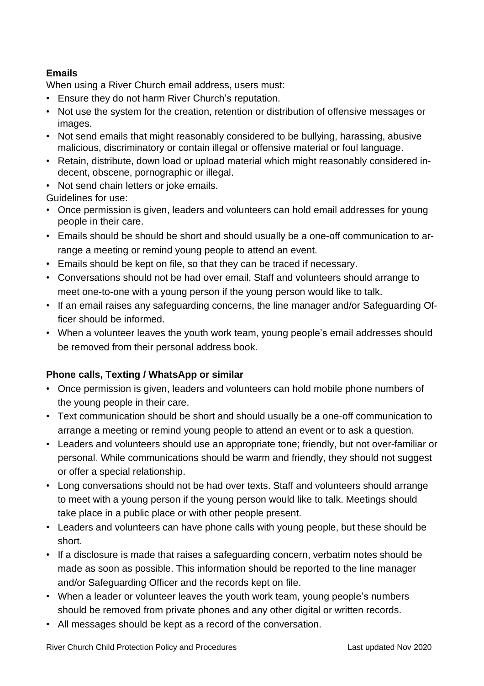## **Emails**

When using a River Church email address, users must:

- Ensure they do not harm River Church's reputation.
- Not use the system for the creation, retention or distribution of offensive messages or images.
- Not send emails that might reasonably considered to be bullying, harassing, abusive malicious, discriminatory or contain illegal or offensive material or foul language.
- Retain, distribute, down load or upload material which might reasonably considered indecent, obscene, pornographic or illegal.
- Not send chain letters or joke emails.

Guidelines for use:

- Once permission is given, leaders and volunteers can hold email addresses for young people in their care.
- Emails should be should be short and should usually be a one-off communication to arrange a meeting or remind young people to attend an event.
- Emails should be kept on file, so that they can be traced if necessary.
- Conversations should not be had over email. Staff and volunteers should arrange to meet one-to-one with a young person if the young person would like to talk.
- If an email raises any safeguarding concerns, the line manager and/or Safeguarding Officer should be informed.
- When a volunteer leaves the youth work team, young people's email addresses should be removed from their personal address book.

## **Phone calls, Texting / WhatsApp or similar**

- Once permission is given, leaders and volunteers can hold mobile phone numbers of the young people in their care.
- Text communication should be short and should usually be a one-off communication to arrange a meeting or remind young people to attend an event or to ask a question.
- Leaders and volunteers should use an appropriate tone; friendly, but not over-familiar or personal. While communications should be warm and friendly, they should not suggest or offer a special relationship.
- Long conversations should not be had over texts. Staff and volunteers should arrange to meet with a young person if the young person would like to talk. Meetings should take place in a public place or with other people present.
- Leaders and volunteers can have phone calls with young people, but these should be short.
- If a disclosure is made that raises a safeguarding concern, verbatim notes should be made as soon as possible. This information should be reported to the line manager and/or Safeguarding Officer and the records kept on file.
- When a leader or volunteer leaves the youth work team, young people's numbers should be removed from private phones and any other digital or written records.
- All messages should be kept as a record of the conversation.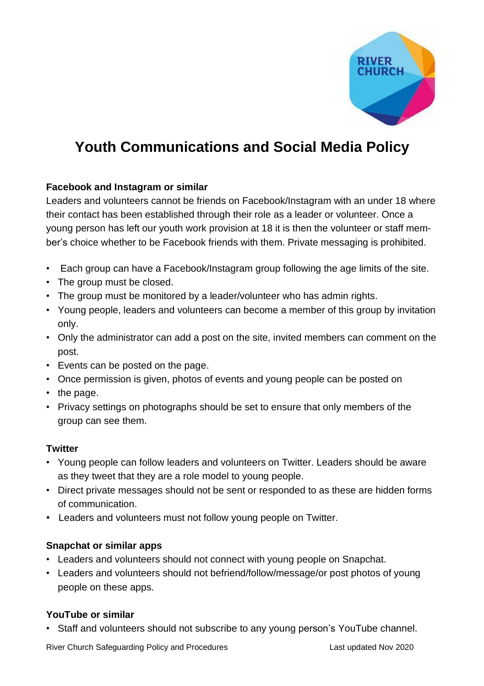

# **Youth Communications and Social Media Policy**

## **Facebook and Instagram or similar**

Leaders and volunteers cannot be friends on Facebook/Instagram with an under 18 where their contact has been established through their role as a leader or volunteer. Once a young person has left our youth work provision at 18 it is then the volunteer or staff member's choice whether to be Facebook friends with them. Private messaging is prohibited.

- Each group can have a Facebook/Instagram group following the age limits of the site.
- The group must be closed.
- The group must be monitored by a leader/volunteer who has admin rights.
- Young people, leaders and volunteers can become a member of this group by invitation only.
- Only the administrator can add a post on the site, invited members can comment on the post.
- Events can be posted on the page.
- Once permission is given, photos of events and young people can be posted on
- the page.
- Privacy settings on photographs should be set to ensure that only members of the group can see them.

## **Twitter**

- Young people can follow leaders and volunteers on Twitter. Leaders should be aware as they tweet that they are a role model to young people.
- Direct private messages should not be sent or responded to as these are hidden forms of communication.
- Leaders and volunteers must not follow young people on Twitter.

## **Snapchat or similar apps**

- Leaders and volunteers should not connect with young people on Snapchat.
- Leaders and volunteers should not befriend/follow/message/or post photos of young people on these apps.

## **YouTube or similar**

• Staff and volunteers should not subscribe to any young person's YouTube channel.